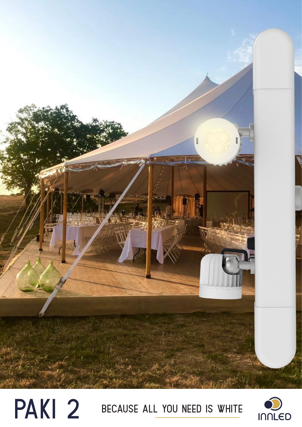

# PAKI 2 BECAUSE ALL YOU NEED IS WHITE

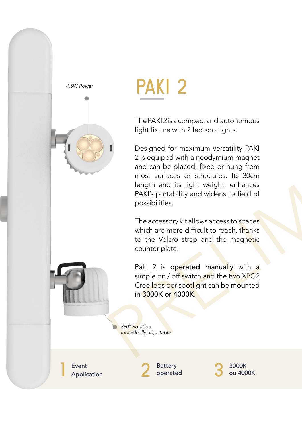

## paki 2

The PAKI 2 is a compact and autonomous light fixture with 2 led spotlights.

**EXECUTE:**<br>The PAKI2 is a compact and autonomous<br>sht fixture with 2 led spotlights.<br>In equiped with a neodymium magnet<br>of can be placed, fixed or hung from<br>ost suffaces or structures. Its 30cm<br>ongth and its light weight, e Designed for maximum versatility PAKI 2 is equiped with a neodymium magnet and can be placed, fixed or hung from most surfaces or structures. Its 30cm length and its light weight, enhances PAKI's portability and widens its field of possibilities.

The accessory kit allows access to spaces which are more difficult to reach, thanks to the Velcro strap and the magnetic counter plate.

Paki 2 is operated manually with a simple on / off switch and the two XPG2 Cree leds per spotlight can be mounted in 3000K or 4000K.

360° Rotation *360° Rotation Individually adjustable*

**Event**<br> **Application** 

**Battery** operated

2 Battery<br>Operated 3 3000K<br>ou 4000K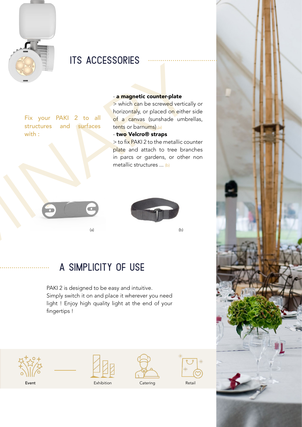

## **ITS ACCESSORIES**

Fix your PAKI 2 to all structures and surfaces with :

#### - a magnetic counter-plate

> which can be screwed vertically or horizontaly, or placed on either side of a canvas (sunshade umbrellas, tents or barnums) (a)

#### - two Velcro® straps

> to fix PAKI 2 to the metallic counter plate and attach to tree branches in parcs or gardens, or other non metallic structures ... (b)





(a) (b)

### a simplicity of use

**Example 11 Control of the Control of the Control of the Control of the Control of the Control of the Control of the Control of the Control of the Control of the Control of the Control of the Control of the Control of the** PAKI 2 is designed to be easy and intuitive. Simply switch it on and place it wherever you need light ! Enjoy high quality light at the end of your fingertips !